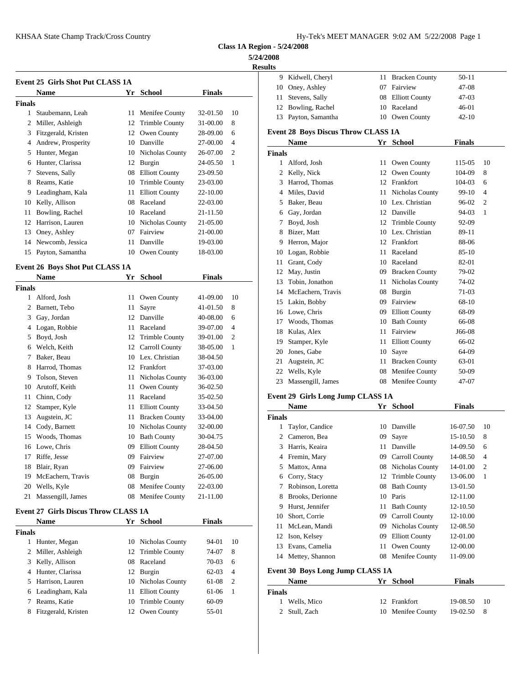| Hy-Tek's MEET MANAGER 9:02 AM 5/22/2008 Page 1 |  |  |
|------------------------------------------------|--|--|
|------------------------------------------------|--|--|

**Class 1A Region - 5/24/2008**

#### **5/24/2008**

**Results**

|               |                                             |    |                       |               |                | <b>Results</b> |                                            |    |                       |               |                |
|---------------|---------------------------------------------|----|-----------------------|---------------|----------------|----------------|--------------------------------------------|----|-----------------------|---------------|----------------|
|               | <b>Event 25 Girls Shot Put CLASS 1A</b>     |    |                       |               |                |                | 9 Kidwell, Cheryl                          |    | 11 Bracken County     | $50 - 11$     |                |
|               | <b>Name</b>                                 |    | Yr School             | <b>Finals</b> |                | 10             | Oney, Ashley                               | 07 | Fairview              | 47-08         |                |
| <b>Finals</b> |                                             |    |                       |               |                | 11             | Stevens, Sally                             | 08 | <b>Elliott County</b> | 47-03         |                |
|               | 1 Staubemann, Leah                          |    | 11 Menifee County     | 32-01.50      | 10             | 12             | Bowling, Rachel                            | 10 | Raceland              | $46-01$       |                |
|               | 2 Miller, Ashleigh                          |    | 12 Trimble County     | 31-00.00      | 8              | 13             | Payton, Samantha                           | 10 | Owen County           | $42 - 10$     |                |
|               | 3 Fitzgerald, Kristen                       |    | 12 Owen County        | 28-09.00      | 6              |                | <b>Event 28 Boys Discus Throw CLASS 1A</b> |    |                       |               |                |
|               | 4 Andrew, Prosperity                        |    | 10 Danville           | 27-00.00      | $\overline{4}$ |                | Name                                       |    | Yr School             | <b>Finals</b> |                |
| 5             | Hunter, Megan                               |    | 10 Nicholas County    | 26-07.00      | $\overline{2}$ | <b>Finals</b>  |                                            |    |                       |               |                |
| 6             | Hunter, Clarissa                            |    | 12 Burgin             | 24-05.50      | 1              | $\mathbf{1}$   | Alford, Josh                               | 11 | Owen County           | 115-05        | 10             |
| 7             | Stevens, Sally                              |    | 08 Elliott County     | 23-09.50      |                | 2              | Kelly, Nick                                | 12 | Owen County           | 104-09        | 8              |
| 8             | Reams, Katie                                | 10 | <b>Trimble County</b> | 23-03.00      |                | 3              | Harrod, Thomas                             | 12 | Frankfort             | 104-03        | 6              |
| 9             | Leadingham, Kala                            | 11 | <b>Elliott County</b> | 22-10.00      |                | 4              | Miles, David                               | 11 | Nicholas County       | 99-10         | $\overline{4}$ |
| 10            | Kelly, Allison                              |    | 08 Raceland           | 22-03.00      |                | 5              | Baker, Beau                                |    | 10 Lex. Christian     | 96-02         | $\overline{2}$ |
| 11            | Bowling, Rachel                             |    | 10 Raceland           | 21-11.50      |                | 6              | Gay, Jordan                                |    | 12 Danville           | 94-03         | 1              |
|               | 12 Harrison, Lauren                         |    | 10 Nicholas County    | 21-05.00      |                | 7              | Boyd, Josh                                 | 12 | <b>Trimble County</b> | 92-09         |                |
| 13            | Oney, Ashley                                |    | 07 Fairview           | 21-00.00      |                | 8              | Bizer, Matt                                | 10 | Lex. Christian        | 89-11         |                |
|               | 14 Newcomb, Jessica                         | 11 | Danville              | 19-03.00      |                | 9              | Herron, Major                              |    | 12 Frankfort          | 88-06         |                |
|               | 15 Payton, Samantha                         |    | 10 Owen County        | 18-03.00      |                | 10             | Logan, Robbie                              | 11 | Raceland              | $85-10$       |                |
|               |                                             |    |                       |               |                | 11             | Grant, Cody                                | 10 | Raceland              | 82-01         |                |
|               | <b>Event 26 Boys Shot Put CLASS 1A</b>      |    |                       |               |                | 12             | May, Justin                                | 09 | <b>Bracken County</b> | 79-02         |                |
|               | Name                                        |    | Yr School             | <b>Finals</b> |                | 13             | Tobin, Jonathon                            | 11 | Nicholas County       | 74-02         |                |
| <b>Finals</b> |                                             |    |                       |               |                | 14             | McEachern, Travis                          | 08 | Burgin                | 71-03         |                |
|               | 1 Alford, Josh                              |    | 11 Owen County        | 41-09.00      | 10             | 15             | Lakin, Bobby                               | 09 | Fairview              | 68-10         |                |
| 2             | Barnett, Tebo                               | 11 | Sayre                 | 41-01.50      | 8              | 16             | Lowe, Chris                                | 09 | <b>Elliott County</b> | 68-09         |                |
| 3             | Gay, Jordan                                 |    | 12 Danville           | 40-08.00      | 6              | 17             | Woods, Thomas                              | 10 | <b>Bath County</b>    | 66-08         |                |
| 4             | Logan, Robbie                               | 11 | Raceland              | 39-07.00      | $\overline{4}$ | 18             | Kulas, Alex                                | 11 | Fairview              | J66-08        |                |
| 5             | Boyd, Josh                                  |    | 12 Trimble County     | 39-01.00      | $\overline{c}$ | 19             | Stamper, Kyle                              | 11 | <b>Elliott County</b> | 66-02         |                |
|               | 6 Welch, Keith                              |    | 12 Carroll County     | 38-05.00      | -1             | 20             | Jones, Gabe                                | 10 | Sayre                 | 64-09         |                |
| 7             | Baker, Beau                                 |    | 10 Lex. Christian     | 38-04.50      |                | 21             | Augstein, JC                               | 11 | <b>Bracken County</b> | 63-01         |                |
| 8             | Harrod, Thomas                              |    | 12 Frankfort          | 37-03.00      |                | 22             | Wells, Kyle                                | 08 | Menifee County        | 50-09         |                |
| 9             | Tolson, Steven                              |    | 11 Nicholas County    | 36-03.00      |                |                | 23 Massengill, James                       |    | 08 Menifee County     | 47-07         |                |
|               | 10 Arutoff, Keith                           | 11 | Owen County           | 36-02.50      |                |                |                                            |    |                       |               |                |
|               | 11 Chinn, Cody                              |    | 11 Raceland           | 35-02.50      |                |                | Event 29 Girls Long Jump CLASS 1A          |    |                       |               |                |
|               | 12 Stamper, Kyle                            |    | 11 Elliott County     | 33-04.50      |                |                | <b>Name</b>                                |    | Yr School             | <b>Finals</b> |                |
|               | 13 Augstein, JC                             | 11 | <b>Bracken County</b> | 33-04.00      |                | <b>Finals</b>  |                                            |    |                       |               |                |
|               | 14 Cody, Barnett                            |    | 10 Nicholas County    | 32-00.00      |                | 1              | Taylor, Candice                            | 10 | Danville              | 16-07.50      | -10            |
| 15            | Woods, Thomas                               | 10 | <b>Bath County</b>    | 30-04.75      |                | 2              | Cameron, Bea                               | 09 | Sayre                 | 15-10.50      | 8              |
|               | 16 Lowe, Chris                              |    | 09 Elliott County     | 28-04.50      |                | 3              | Harris, Keaira                             |    | 11 Danville           | 14-09.50      | 6              |
|               | 17 Riffe, Jesse                             |    | 09 Fairview           | 27-07.00      |                |                | 4 Fremin, Mary                             |    | 09 Carroll County     | 14-08.50      | $\overline{4}$ |
|               | 18 Blair, Ryan                              |    | 09 Fairview           | 27-06.00      |                | 5              | Mattox, Anna                               |    | 08 Nicholas County    | 14-01.00      | $\overline{c}$ |
|               | 19 McEachern, Travis                        |    | 08 Burgin             | 26-05.00      |                | 6              | Corry, Stacy                               |    | 12 Trimble County     | 13-06.00      | -1             |
|               | 20 Wells, Kyle                              |    | 08 Menifee County     | 22-03.00      |                | 7              | Robinson, Loretta                          |    | 08 Bath County        | 13-01.50      |                |
|               | 21 Massengill, James                        |    | 08 Menifee County     | 21-11.00      |                | 8              | Brooks, Derionne                           |    | 10 Paris              | 12-11.00      |                |
|               | <b>Event 27 Girls Discus Throw CLASS 1A</b> |    |                       |               |                | 9              | Hurst, Jennifer                            | 11 | <b>Bath County</b>    | 12-10.50      |                |
|               | <b>Name</b>                                 |    | Yr School             |               |                | 10             | Short, Corrie                              | 09 | <b>Carroll County</b> | 12-10.00      |                |
|               |                                             |    |                       | <b>Finals</b> |                | 11.            | McLean, Mandi                              | 09 | Nicholas County       | 12-08.50      |                |
| <b>Finals</b> |                                             |    |                       |               |                | 12             | Ison, Kelsey                               | 09 | <b>Elliott County</b> | 12-01.00      |                |
|               | 1 Hunter, Megan                             |    | 10 Nicholas County    | 94-01         | 10             | 13             | Evans, Camelia                             | 11 | Owen County           | 12-00.00      |                |
| 2             | Miller, Ashleigh                            |    | 12 Trimble County     | 74-07         | 8              |                | 14 Mettey, Shannon                         |    | 08 Menifee County     | 11-09.00      |                |
| 3             | Kelly, Allison                              |    | 08 Raceland           | 70-03         | 6              |                |                                            |    |                       |               |                |
| 4             | Hunter, Clarissa                            |    | 12 Burgin             | $62-03$       | 4              |                | Event 30 Boys Long Jump CLASS 1A           |    | Yr School             | <b>Finals</b> |                |
| 5             | Harrison, Lauren                            |    | 10 Nicholas County    | 61-08         | $\overline{c}$ |                | Name                                       |    |                       |               |                |
|               | 6 Leadingham, Kala                          |    | 11 Elliott County     | 61-06         | $\mathbf{1}$   | <b>Finals</b>  |                                            |    |                       |               |                |
|               | 7 Reams, Katie                              |    | 10 Trimble County     | 60-09         |                |                | 1 Wells, Mico                              |    | 12 Frankfort          | 19-08.50      | 10             |
|               | 8 Fitzgerald, Kristen                       |    | 12 Owen County        | 55-01         |                |                | 2 Stull, Zach                              |    | 10 Menifee County     | 19-02.50      | 8              |
|               |                                             |    |                       |               |                |                |                                            |    |                       |               |                |
|               |                                             |    |                       |               |                |                |                                            |    |                       |               |                |

| 9      | Kidwell, Cheryl                     | 11 | <b>Bracken County</b> | 50-11         |                |
|--------|-------------------------------------|----|-----------------------|---------------|----------------|
|        | 10 Oney, Ashley                     |    | 07 Fairview           | 47-08         |                |
| 11     | Stevens, Sally                      |    | 08 Elliott County     | 47-03         |                |
|        | 12 Bowling, Rachel                  |    | 10 Raceland           | 46-01         |                |
|        | 13 Payton, Samantha                 |    | 10 Owen County        | $42 - 10$     |                |
|        | Event 28 Boys Discus Throw CLASS 1A |    |                       |               |                |
|        | <b>Name</b>                         |    | Yr School             | <b>Finals</b> |                |
| Finals |                                     |    |                       |               |                |
|        | 1 Alford, Josh                      |    | 11 Owen County        | 115-05        | 10             |
|        | 2 Kelly, Nick                       |    | 12 Owen County        | 104-09        | 8              |
|        | 3 Harrod, Thomas                    |    | 12 Frankfort          | 104-03        | 6              |
|        | 4 Miles, David                      |    | 11 Nicholas County    | 99-10         | $\overline{4}$ |
|        | 5 Baker, Beau                       |    | 10 Lex. Christian     | 96-02         | $\overline{2}$ |
|        | 6 Gay, Jordan                       |    | 12 Danville           | 94-03         | 1              |
|        | 7 Boyd, Josh                        |    | 12 Trimble County     | 92-09         |                |
|        | 8 Bizer, Matt                       |    | 10 Lex. Christian     | 89-11         |                |
|        | 9 Herron, Major                     |    | 12 Frankfort          | 88-06         |                |
|        | 10 Logan, Robbie                    |    | 11 Raceland           | 85-10         |                |
| 11     | Grant, Cody                         |    | 10 Raceland           | 82-01         |                |
|        | 12 May, Justin                      |    | 09 Bracken County     | 79-02         |                |
|        | 13 Tobin, Jonathon                  |    | 11 Nicholas County    | 74-02         |                |
|        | 14 McEachern, Travis                |    | 08 Burgin             | 71-03         |                |
|        | 15 Lakin, Bobby                     |    | 09 Fairview           | 68-10         |                |
|        | 16 Lowe, Chris                      |    | 09 Elliott County     | 68-09         |                |
|        | 17 Woods, Thomas                    |    | 10 Bath County        | 66-08         |                |
|        | 18 Kulas, Alex                      |    | 11 Fairview           | J66-08        |                |
|        | 19 Stamper, Kyle                    |    | 11 Elliott County     | 66-02         |                |
|        | 20 Jones, Gabe                      |    | 10 Sayre              | 64-09         |                |
| 21     | Augstein, JC                        |    | 11 Bracken County     | 63-01         |                |
|        | 22 Wells, Kyle                      |    | 08 Menifee County     | 50-09         |                |
|        | 23 Massengill, James                |    | 08 Menifee County     | 47-07         |                |
|        | Event 29  Girls Long Jump CLASS 1A  |    |                       |               |                |
|        | Name                                |    | Yr School             | <b>Finals</b> |                |
| Finals |                                     |    |                       |               |                |
|        | 1 Taylor, Candice                   |    | 10 Danville           | 16-07.50      | 10             |
|        | 2 Cameron, Bea                      |    | 09 Sayre              | 15-10.50      | 8              |
|        | 3 Harris, Keaira                    |    | 11 Danville           | 14-09.50      | 6              |
|        | 4 Fremin, Mary                      |    | 09 Carroll County     | 14-08.50      | 4              |
|        | 5 Mattox, Anna                      |    | 08 Nicholas County    | 14-01.00      | 2              |
|        | 6 Corry, Stacy                      |    | 12 Trimble County     | 13-06.00      | 1              |
|        | 7 Robinson, Loretta                 | 08 | <b>Bath County</b>    | 13-01.50      |                |
| 8      | Brooks, Derionne                    |    | 10 Paris              | 12-11.00      |                |
| 9      | Hurst, Jennifer                     | 11 | <b>Bath County</b>    | 12-10.50      |                |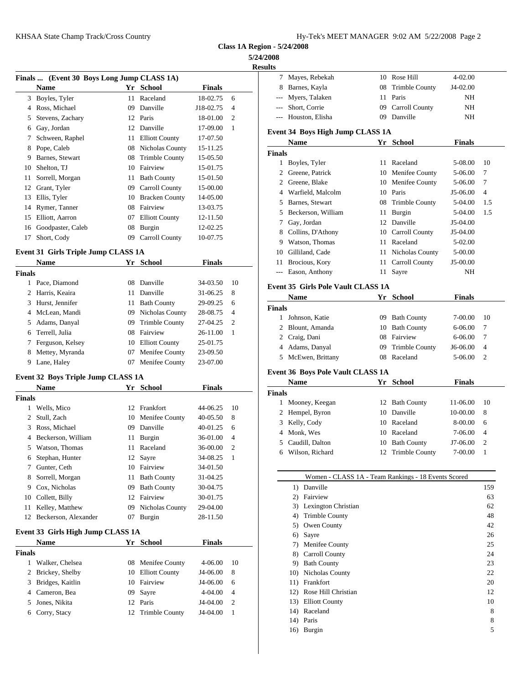| Hy-Tek's MEET MANAGER  9:02 AM  5/22/2008  Page 2 |  |
|---------------------------------------------------|--|
|---------------------------------------------------|--|

**Class 1A Region - 5/24/2008**

### **5/24/2**

**Resu** 

|    | Finals  (Event 30 Boys Long Jump CLASS 1A)       |                                           |                       |               |   | 7             | May                |
|----|--------------------------------------------------|-------------------------------------------|-----------------------|---------------|---|---------------|--------------------|
|    | <b>Name</b>                                      |                                           | Yr School             | <b>Finals</b> |   |               | Barr               |
|    | 3 Boyles, Tyler                                  |                                           | 11 Raceland           | 18-02.75      | 6 |               | Mye                |
|    | Ross, Michael                                    | 09                                        | Danville              | J18-02.75     | 4 |               | Shor               |
| 5  | Stevens, Zachary                                 |                                           | 12 Paris              | 18-01.00      | 2 |               | --- Hou            |
| 6  | Gay, Jordan                                      | 12                                        | Danville              | 17-09.00      | 1 | Event 34      |                    |
| 7  | Schween, Raphel                                  |                                           | 11 Elliott County     | 17-07.50      |   |               | Nan                |
| 8  | Pope, Caleb                                      |                                           | 08 Nicholas County    | 15-11.25      |   | <b>Finals</b> |                    |
| 9  | Barnes, Stewart                                  |                                           | 08 Trimble County     | 15-05.50      |   |               |                    |
| 10 | Shelton, TJ                                      | 10                                        | Fairview              | 15-01.75      |   |               | <b>Boy</b><br>Gree |
| 11 | Sorrell, Morgan                                  | 11                                        | <b>Bath County</b>    | 15-01.50      |   |               | Gree               |
| 12 | Grant, Tyler                                     | 09                                        | Carroll County        | 15-00.00      |   |               | War                |
| 13 | Ellis, Tyler                                     | 10                                        | <b>Bracken County</b> | 14-05.00      |   |               | Barn               |
| 14 | Rymer, Tanner                                    | 08                                        | Fairview              | 13-03.75      |   | 5             | Becl               |
| 15 | Elliott, Aarron                                  | 07                                        | <b>Elliott County</b> | 12-11.50      |   |               |                    |
|    | 16 Goodpaster, Caleb                             |                                           | 08 Burgin             | 12-02.25      |   |               | Gay,               |
| 17 | Short, Cody                                      | 09                                        | Carroll County        | 10-07.75      |   |               | Coll               |
|    | $\sim$ $\sim$ $\sim$ $\sim$ $\sim$ $\sim$ $\sim$ | $\sim$ $\sim$ $\sim$ $\sim$ $\sim$ $\sim$ |                       |               |   |               | <b>Wats</b>        |

### **Event 31 Girls Triple Jump CLASS 1A**

|        | <b>Name</b>        |    | Yr School          | <b>Finals</b> |                | 11<br><b>Broci</b> |
|--------|--------------------|----|--------------------|---------------|----------------|--------------------|
| Finals |                    |    |                    |               |                | --- Eason          |
| 1.     | Pace, Diamond      |    | 08 Danville        | 34-03.50      | -10            | Event 35 G         |
|        | 2 Harris, Keaira   |    | 11 Danville        | 31-06.25      | 8              | <b>Nam</b>         |
|        | 3 Hurst, Jennifer  | 11 | <b>Bath County</b> | 29-09.25      | 6              | <b>Finals</b>      |
|        | 4 McLean, Mandi    |    | 09 Nicholas County | 28-08.75      | $\overline{4}$ | Johns              |
|        | 5 Adams, Danyal    |    | 09 Trimble County  | 27-04.25      | - 2            | 2 Blour            |
|        | 6 Terrell, Julia   |    | 08 Fairview        | $26 - 11.00$  | -1             | 2 Craig            |
|        | 7 Ferguson, Kelsey |    | 10 Elliott County  | 25-01.75      |                | 4 Adam             |
|        | 8 Mettey, Myranda  |    | 07 Menifee County  | 23-09.50      |                | 5 McEy             |
| 9      | Lane, Haley        | 07 | Menifee County     | 23-07.00      |                |                    |
|        |                    |    |                    |               |                |                    |

# **Event 32 Boys Triple Jump CLASS 1A**

|                                                  | <b>Name</b>                                                                                                                                                                      | Yr                                                       | School                                                                                                                                           | <b>Finals</b>                                                                                                        |                                                 | гуанн                                                                 |
|--------------------------------------------------|----------------------------------------------------------------------------------------------------------------------------------------------------------------------------------|----------------------------------------------------------|--------------------------------------------------------------------------------------------------------------------------------------------------|----------------------------------------------------------------------------------------------------------------------|-------------------------------------------------|-----------------------------------------------------------------------|
| Finals                                           |                                                                                                                                                                                  |                                                          |                                                                                                                                                  |                                                                                                                      |                                                 | <b>Finals</b>                                                         |
| 1                                                | Wells, Mico                                                                                                                                                                      |                                                          | 12 Frankfort                                                                                                                                     | $44 - 06.25$                                                                                                         | 10                                              | Moon<br>1<br>Hemp<br>2                                                |
| 2<br>3<br>4<br>5<br>6<br>7<br>8<br>9<br>10<br>11 | Stull, Zach<br>Ross, Michael<br>Beckerson, William<br>Watson, Thomas<br>Stephan, Hunter<br>Gunter, Ceth<br>Sorrell, Morgan<br>Cox, Nicholas<br>Collett, Billy<br>Kelley, Matthew | 10<br>09<br>11<br>11<br>12<br>10<br>11<br>09<br>12<br>09 | Menifee County<br>Danville<br>Burgin<br>Raceland<br>Sayre<br>Fairview<br><b>Bath County</b><br><b>Bath County</b><br>Fairview<br>Nicholas County | 40-05.50<br>40-01.25<br>36-01.00<br>36-00.00<br>34-08.25<br>34-01.50<br>31-04.25<br>30-04.75<br>30-01.75<br>29-04.00 | 8<br>6<br>$\overline{4}$<br>$\overline{2}$<br>1 | 3<br>Kelly<br>Monk<br>4<br>Caudi<br>5<br>Wilso<br>6<br>1)<br>2)<br>3) |
| 12                                               | Beckerson, Alexander<br>Event 33 Girls High Jump CLASS 1A<br><b>Name</b>                                                                                                         | 07                                                       | Burgin<br>Yr School                                                                                                                              | 28-11.50<br><b>Finals</b>                                                                                            |                                                 | 4)<br>5)<br>6)                                                        |
| Finals                                           |                                                                                                                                                                                  |                                                          |                                                                                                                                                  |                                                                                                                      |                                                 | 7)                                                                    |
| 1                                                | Walker, Chelsea                                                                                                                                                                  |                                                          | 08 Menifee County                                                                                                                                | 4-06.00                                                                                                              | 10                                              | 8)<br>9)                                                              |
| 2<br>3                                           | Brickey, Shelby<br>Bridges, Kaitlin                                                                                                                                              | 10<br>10                                                 | <b>Elliott County</b><br>Fairview                                                                                                                | J4-06.00<br>J4-06.00                                                                                                 | 8<br>6                                          | 10)<br>11)                                                            |
| 4                                                | Cameron, Bea                                                                                                                                                                     | 09                                                       | Sayre                                                                                                                                            | 4-04.00                                                                                                              | $\overline{4}$                                  | 12)                                                                   |
| 5<br>6                                           | Jones, Nikita<br>Corry, Stacy                                                                                                                                                    | 12<br>12                                                 | Paris<br><b>Trimble County</b>                                                                                                                   | J4-04.00<br>J4-04.00                                                                                                 | $\overline{2}$<br>1                             | 13)<br>14)                                                            |
|                                                  |                                                                                                                                                                                  |                                                          |                                                                                                                                                  |                                                                                                                      |                                                 |                                                                       |

| 2008          |                                                     |                    |               |                |
|---------------|-----------------------------------------------------|--------------------|---------------|----------------|
| ults          |                                                     |                    |               |                |
|               | 7 Mayes, Rebekah                                    | 10 Rose Hill       | 4-02.00       |                |
|               | 8 Barnes, Kayla                                     | 08 Trimble County  | J4-02.00      |                |
| $---$         | Myers, Talaken                                      | 11 Paris           | NH            |                |
|               | --- Short, Corrie                                   | 09 Carroll County  | NH            |                |
|               | --- Houston, Elisha                                 | 09 Danville        | NH            |                |
|               | Event 34 Boys High Jump CLASS 1A<br>Name            | Yr School          | <b>Finals</b> |                |
| <b>Finals</b> |                                                     |                    |               |                |
|               | 1 Boyles, Tyler                                     | 11 Raceland        | 5-08.00       | 10             |
|               | 2 Greene, Patrick                                   | 10 Menifee County  | 5-06.00       | 7              |
|               | 2 Greene, Blake                                     | 10 Menifee County  | 5-06.00       | 7              |
|               | 4 Warfield, Malcolm                                 | 10 Paris           | J5-06.00      | 4              |
|               | 5 Barnes, Stewart                                   | 08 Trimble County  | 5-04.00       | 1.5            |
|               | 5 Beckerson, William                                | 11 Burgin          | 5-04.00       | 1.5            |
|               | 7 Gay, Jordan                                       | 12 Danville        | J5-04.00      |                |
|               | 8 Collins, D'Athony                                 | 10 Carroll County  | J5-04.00      |                |
|               | 9 Watson, Thomas                                    | 11 Raceland        | 5-02.00       |                |
|               | 10 Gilliland, Cade                                  | 11 Nicholas County | 5-00.00       |                |
|               | 11 Brocious, Kory                                   | 11 Carroll County  | J5-00.00      |                |
|               | --- Eason, Anthony                                  | 11 Sayre           | NH            |                |
|               |                                                     |                    |               |                |
|               | <b>Event 35 Girls Pole Vault CLASS 1A</b><br>Name   | Yr School          | <b>Finals</b> |                |
| <b>Finals</b> |                                                     |                    |               |                |
|               | 1 Johnson, Katie                                    | 09 Bath County     | 7-00.00       | 10             |
|               | 2 Blount, Amanda                                    | 10 Bath County     | 6-06.00       | 7              |
|               | 2 Craig, Dani                                       | 08 Fairview        | 6-06.00       | 7              |
|               | 4 Adams, Danyal                                     | 09 Trimble County  | J6-06.00      | 4              |
|               | 5 McEwen, Brittany                                  | 08 Raceland        | 5-06.00       | 2              |
|               | Event 36 Boys Pole Vault CLASS 1A                   |                    |               |                |
|               | Name                                                | Yr School          | Finals        |                |
| <b>Finals</b> |                                                     |                    |               |                |
|               | 1 Mooney, Keegan                                    | 12 Bath County     | 11-06.00      | 10             |
|               | 2 Hempel, Byron                                     | 10 Danville        | 10-00.00      | 8              |
|               | 3 Kelly, Cody                                       | 10 Raceland        | 8-00.00       | 6              |
|               | 4 Monk, Wes                                         | 10 Raceland        | 7-06.00       | 4              |
|               | 5 Caudill, Dalton                                   | 10 Bath County     | J7-06.00      | $\mathfrak{D}$ |
|               | 6 Wilson, Richard                                   | 12 Trimble County  | 7-00.00       | 1              |
|               |                                                     |                    |               |                |
|               | Women - CLASS 1A - Team Rankings - 18 Events Scored |                    |               |                |
|               | 1) Danville                                         |                    |               | 159            |
|               | 2) Fairview                                         |                    |               | 63             |
|               | 3) Lexington Christian                              |                    |               | 62             |
|               | 4) Trimble County                                   |                    |               | 48             |
|               | 5) Owen County                                      |                    |               | 42             |
|               | 6) Sayre                                            |                    |               | 26             |
|               | 7) Menifee County                                   |                    |               | 25             |
|               | 8) Carroll County                                   |                    |               | 24             |
|               | 9) Bath County                                      |                    |               | 23<br>22       |
|               | 10) Nicholas County<br>11) Frankfort                |                    |               | 20             |
|               | 12) Rose Hill Christian                             |                    |               | 12             |
|               | 13) Elliott County                                  |                    |               | 10             |
|               | 14) Raceland                                        |                    |               | $\,$ 8 $\,$    |
|               |                                                     |                    |               |                |

14) Paris 8<br>16) Burgin 5

16) Burgin